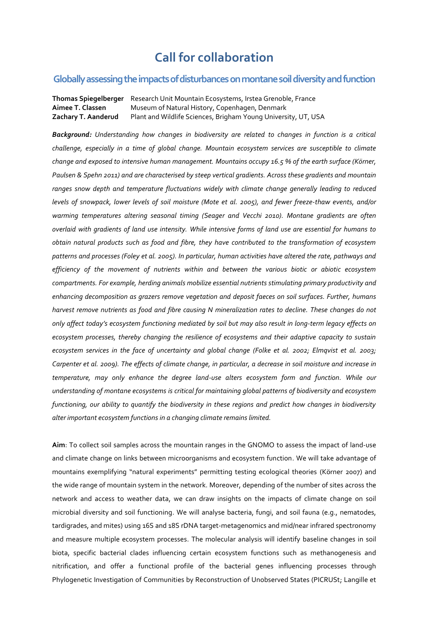## **Call for collaboration**

## **Globally assessingtheimpactsof disturbances on montane soil diversity and function**

**Thomas Spiegelberger** Research Unit Mountain Ecosystems, Irstea Grenoble, France **Aimee T. Classen** Museum of Natural History, Copenhagen, Denmark **Zachary T. Aanderud** Plant and Wildlife Sciences, Brigham Young University, UT, USA

*Background: Understanding how changes in biodiversity are related to changes in function is a critical challenge, especially in a time of global change. Mountain ecosystem services are susceptible to climate change and exposed to intensive human management. Mountains occupy 16.5 % of the earth surface (Körner, Paulsen & Spehn 2011) and are characterised by steep vertical gradients. Across these gradients and mountain ranges snow depth and temperature fluctuations widely with climate change generally leading to reduced levels of snowpack, lower levels of soil moisture (Mote et al. 2005), and fewer freeze-thaw events, and/or warming temperatures altering seasonal timing (Seager and Vecchi 2010). Montane gradients are often overlaid with gradients of land use intensity. While intensive forms of land use are essential for humans to obtain natural products such as food and fibre, they have contributed to the transformation of ecosystem patterns and processes (Foley et al. 2005). In particular, human activities have altered the rate, pathways and efficiency of the movement of nutrients within and between the various biotic or abiotic ecosystem compartments. For example, herding animals mobilize essential nutrients stimulating primary productivity and enhancing decomposition as grazers remove vegetation and deposit faeces on soil surfaces. Further, humans harvest remove nutrients as food and fibre causing N mineralization rates to decline. These changes do not only affect today's ecosystem functioning mediated by soil but may also result in long-term legacy effects on ecosystem processes, thereby changing the resilience of ecosystems and their adaptive capacity to sustain ecosystem services in the face of uncertainty and global change (Folke et al. 2002; Elmqvist et al. 2003; Carpenter et al. 2009). The effects of climate change, in particular, a decrease in soil moisture and increase in temperature, may only enhance the degree land-use alters ecosystem form and function. While our understanding of montane ecosystems is critical for maintaining global patterns of biodiversity and ecosystem functioning, our ability to quantify the biodiversity in these regions and predict how changes in biodiversity alter important ecosystem functions in a changing climate remains limited.*

**Aim**: To collect soil samples across the mountain ranges in the GNOMO to assess the impact of land-use and climate change on links between microorganisms and ecosystem function. We will take advantage of mountains exemplifying "natural experiments" permitting testing ecological theories (Körner 2007) and the wide range of mountain system in the network. Moreover, depending of the number of sites across the network and access to weather data, we can draw insights on the impacts of climate change on soil microbial diversity and soil functioning. We will analyse bacteria, fungi, and soil fauna (e.g., nematodes, tardigrades, and mites) using 16S and 18S rDNA target-metagenomics and mid/near infrared spectronomy and measure multiple ecosystem processes. The molecular analysis will identify baseline changes in soil biota, specific bacterial clades influencing certain ecosystem functions such as methanogenesis and nitrification, and offer a functional profile of the bacterial genes influencing processes through Phylogenetic Investigation of Communities by Reconstruction of Unobserved States (PICRUSt; Langille et